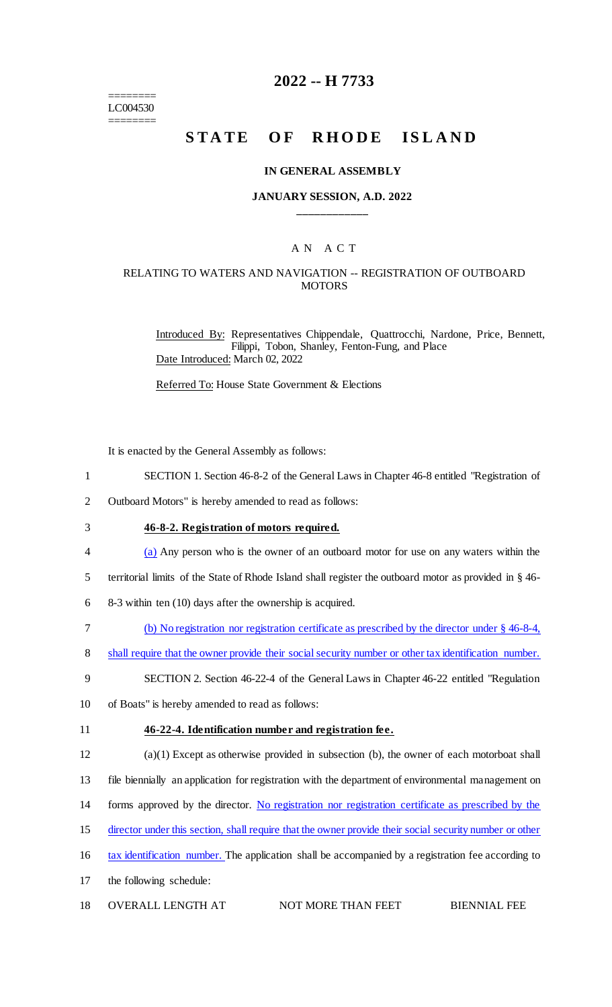======== LC004530 ========

## **2022 -- H 7733**

# **STATE OF RHODE ISLAND**

#### **IN GENERAL ASSEMBLY**

### **JANUARY SESSION, A.D. 2022 \_\_\_\_\_\_\_\_\_\_\_\_**

### A N A C T

### RELATING TO WATERS AND NAVIGATION -- REGISTRATION OF OUTBOARD **MOTORS**

Introduced By: Representatives Chippendale, Quattrocchi, Nardone, Price, Bennett, Filippi, Tobon, Shanley, Fenton-Fung, and Place Date Introduced: March 02, 2022

Referred To: House State Government & Elections

It is enacted by the General Assembly as follows:

- 1 SECTION 1. Section 46-8-2 of the General Laws in Chapter 46-8 entitled "Registration of
- 2 Outboard Motors" is hereby amended to read as follows:
- 3 **46-8-2. Registration of motors required.**
- 4 (a) Any person who is the owner of an outboard motor for use on any waters within the
- 5 territorial limits of the State of Rhode Island shall register the outboard motor as provided in § 46-
- 6 8-3 within ten (10) days after the ownership is acquired.
- 7 (b) No registration nor registration certificate as prescribed by the director under § 46-8-4,
- 8 shall require that the owner provide their social security number or other tax identification number.
- 9 SECTION 2. Section 46-22-4 of the General Laws in Chapter 46-22 entitled "Regulation
- 10 of Boats" is hereby amended to read as follows:

#### 11 **46-22-4. Identification number and registration fee.**

- 12 (a)(1) Except as otherwise provided in subsection (b), the owner of each motorboat shall
- 13 file biennially an application for registration with the department of environmental management on
- 14 forms approved by the director. No registration nor registration certificate as prescribed by the
- 15 director under this section, shall require that the owner provide their social security number or other
- 16 tax identification number. The application shall be accompanied by a registration fee according to
- 17 the following schedule:
- 18 OVERALL LENGTH AT NOT MORE THAN FEET BIENNIAL FEE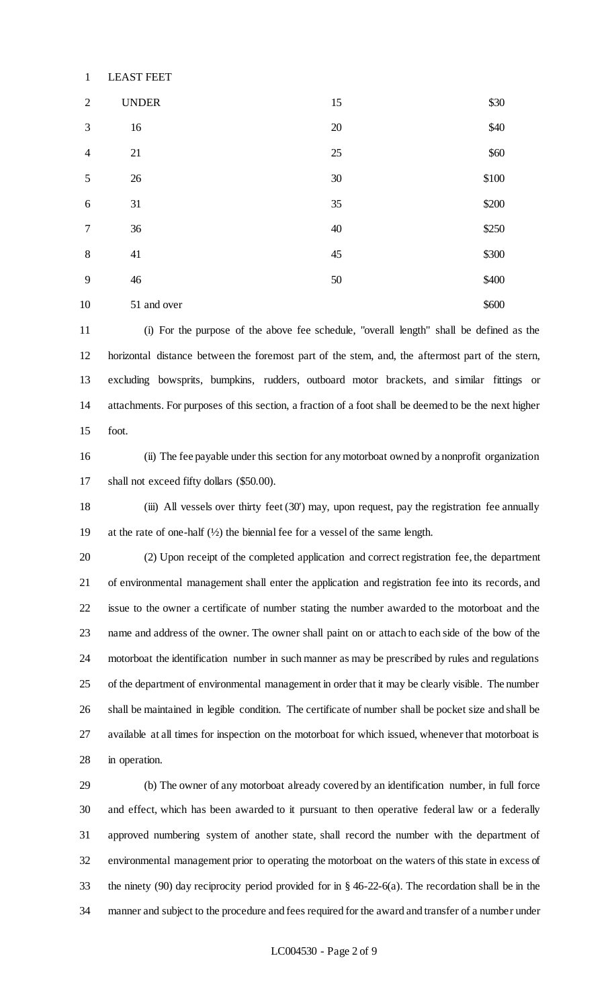| $\mathbf{1}$   | <b>LEAST FEET</b> |        |       |
|----------------|-------------------|--------|-------|
| $\overline{2}$ | <b>UNDER</b>      | 15     | \$30  |
| 3              | 16                | $20\,$ | \$40  |
| $\overline{4}$ | 21                | $25\,$ | \$60  |
| 5              | 26                | 30     | \$100 |
| 6              | 31                | 35     | \$200 |
| $\tau$         | 36                | 40     | \$250 |
| 8              | 41                | 45     | \$300 |
| 9              | $46$              | 50     | \$400 |
| 10             | 51 and over       |        | \$600 |

 (i) For the purpose of the above fee schedule, "overall length" shall be defined as the horizontal distance between the foremost part of the stem, and, the aftermost part of the stern, excluding bowsprits, bumpkins, rudders, outboard motor brackets, and similar fittings or attachments. For purposes of this section, a fraction of a foot shall be deemed to be the next higher foot.

 (ii) The fee payable under this section for any motorboat owned by a nonprofit organization shall not exceed fifty dollars (\$50.00).

 (iii) All vessels over thirty feet (30') may, upon request, pay the registration fee annually at the rate of one-half (½) the biennial fee for a vessel of the same length.

 (2) Upon receipt of the completed application and correct registration fee, the department of environmental management shall enter the application and registration fee into its records, and issue to the owner a certificate of number stating the number awarded to the motorboat and the name and address of the owner. The owner shall paint on or attach to each side of the bow of the motorboat the identification number in such manner as may be prescribed by rules and regulations of the department of environmental management in order that it may be clearly visible. The number shall be maintained in legible condition. The certificate of number shall be pocket size and shall be available at all times for inspection on the motorboat for which issued, whenever that motorboat is in operation.

 (b) The owner of any motorboat already covered by an identification number, in full force and effect, which has been awarded to it pursuant to then operative federal law or a federally approved numbering system of another state, shall record the number with the department of environmental management prior to operating the motorboat on the waters of this state in excess of the ninety (90) day reciprocity period provided for in § 46-22-6(a). The recordation shall be in the manner and subject to the procedure and fees required for the award and transfer of a number under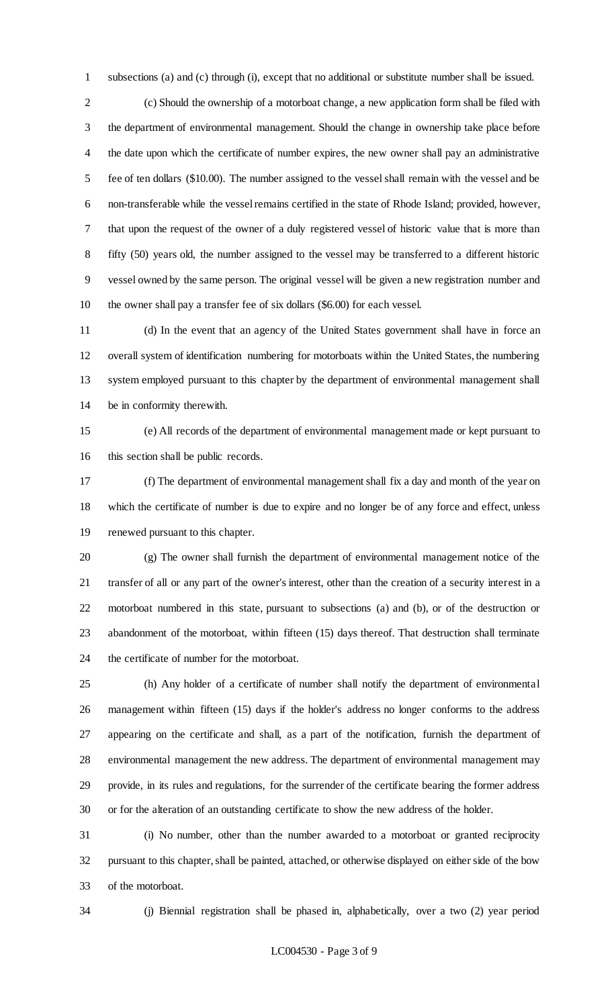subsections (a) and (c) through (i), except that no additional or substitute number shall be issued.

 (c) Should the ownership of a motorboat change, a new application form shall be filed with the department of environmental management. Should the change in ownership take place before the date upon which the certificate of number expires, the new owner shall pay an administrative fee of ten dollars (\$10.00). The number assigned to the vessel shall remain with the vessel and be non-transferable while the vessel remains certified in the state of Rhode Island; provided, however, that upon the request of the owner of a duly registered vessel of historic value that is more than fifty (50) years old, the number assigned to the vessel may be transferred to a different historic vessel owned by the same person. The original vessel will be given a new registration number and the owner shall pay a transfer fee of six dollars (\$6.00) for each vessel.

 (d) In the event that an agency of the United States government shall have in force an overall system of identification numbering for motorboats within the United States, the numbering system employed pursuant to this chapter by the department of environmental management shall be in conformity therewith.

 (e) All records of the department of environmental management made or kept pursuant to this section shall be public records.

 (f) The department of environmental management shall fix a day and month of the year on which the certificate of number is due to expire and no longer be of any force and effect, unless renewed pursuant to this chapter.

 (g) The owner shall furnish the department of environmental management notice of the transfer of all or any part of the owner's interest, other than the creation of a security interest in a motorboat numbered in this state, pursuant to subsections (a) and (b), or of the destruction or abandonment of the motorboat, within fifteen (15) days thereof. That destruction shall terminate the certificate of number for the motorboat.

 (h) Any holder of a certificate of number shall notify the department of environmental management within fifteen (15) days if the holder's address no longer conforms to the address appearing on the certificate and shall, as a part of the notification, furnish the department of environmental management the new address. The department of environmental management may provide, in its rules and regulations, for the surrender of the certificate bearing the former address or for the alteration of an outstanding certificate to show the new address of the holder.

 (i) No number, other than the number awarded to a motorboat or granted reciprocity pursuant to this chapter, shall be painted, attached, or otherwise displayed on either side of the bow of the motorboat.

(j) Biennial registration shall be phased in, alphabetically, over a two (2) year period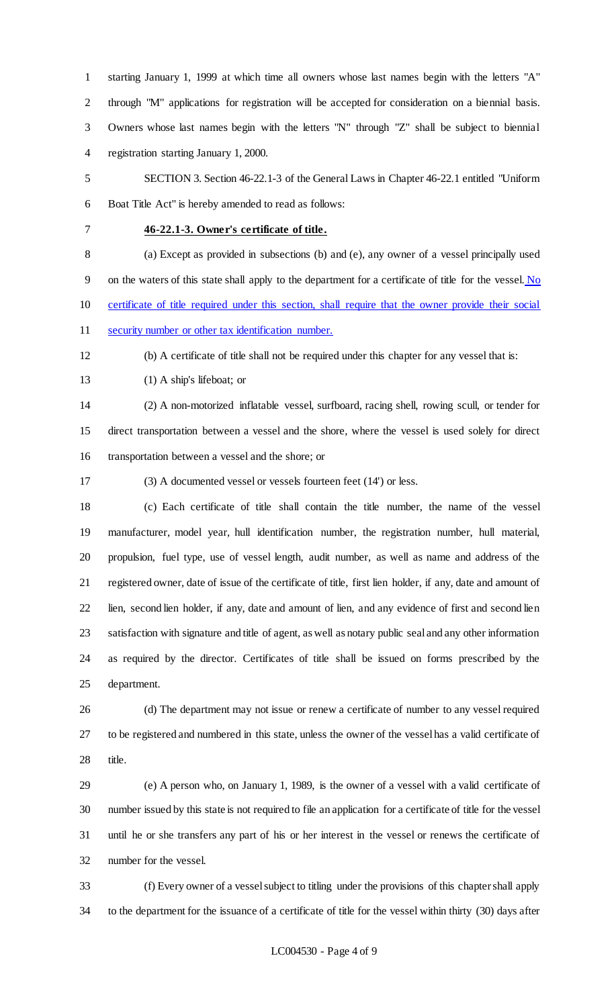starting January 1, 1999 at which time all owners whose last names begin with the letters "A" through "M" applications for registration will be accepted for consideration on a biennial basis. Owners whose last names begin with the letters "N" through "Z" shall be subject to biennial registration starting January 1, 2000.

 SECTION 3. Section 46-22.1-3 of the General Laws in Chapter 46-22.1 entitled "Uniform Boat Title Act" is hereby amended to read as follows:

### **46-22.1-3. Owner's certificate of title.**

 (a) Except as provided in subsections (b) and (e), any owner of a vessel principally used on the waters of this state shall apply to the department for a certificate of title for the vessel. No certificate of title required under this section, shall require that the owner provide their social security number or other tax identification number.

(b) A certificate of title shall not be required under this chapter for any vessel that is:

(1) A ship's lifeboat; or

 (2) A non-motorized inflatable vessel, surfboard, racing shell, rowing scull, or tender for direct transportation between a vessel and the shore, where the vessel is used solely for direct transportation between a vessel and the shore; or

(3) A documented vessel or vessels fourteen feet (14') or less.

 (c) Each certificate of title shall contain the title number, the name of the vessel manufacturer, model year, hull identification number, the registration number, hull material, propulsion, fuel type, use of vessel length, audit number, as well as name and address of the registered owner, date of issue of the certificate of title, first lien holder, if any, date and amount of lien, second lien holder, if any, date and amount of lien, and any evidence of first and second lien satisfaction with signature and title of agent, as well as notary public seal and any other information as required by the director. Certificates of title shall be issued on forms prescribed by the department.

 (d) The department may not issue or renew a certificate of number to any vessel required to be registered and numbered in this state, unless the owner of the vessel has a valid certificate of title.

 (e) A person who, on January 1, 1989, is the owner of a vessel with a valid certificate of number issued by this state is not required to file an application for a certificate of title for the vessel until he or she transfers any part of his or her interest in the vessel or renews the certificate of number for the vessel.

 (f) Every owner of a vessel subject to titling under the provisions of this chapter shall apply to the department for the issuance of a certificate of title for the vessel within thirty (30) days after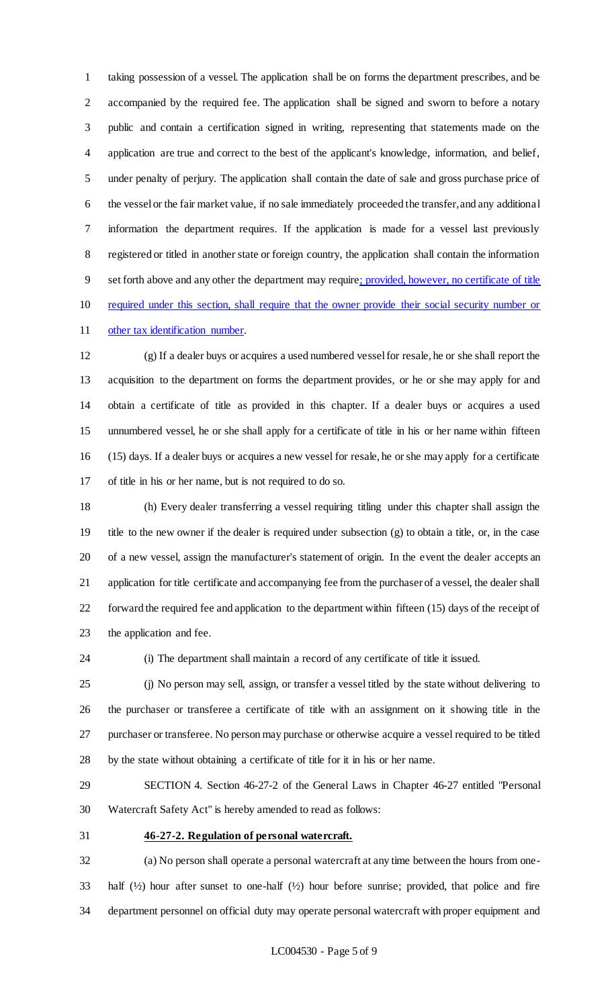taking possession of a vessel. The application shall be on forms the department prescribes, and be accompanied by the required fee. The application shall be signed and sworn to before a notary public and contain a certification signed in writing, representing that statements made on the application are true and correct to the best of the applicant's knowledge, information, and belief, under penalty of perjury. The application shall contain the date of sale and gross purchase price of the vessel or the fair market value, if no sale immediately proceeded the transfer, and any additional information the department requires. If the application is made for a vessel last previously registered or titled in another state or foreign country, the application shall contain the information set forth above and any other the department may require; provided, however, no certificate of title required under this section, shall require that the owner provide their social security number or 11 other tax identification number.

 (g) If a dealer buys or acquires a used numbered vessel for resale, he or she shall report the acquisition to the department on forms the department provides, or he or she may apply for and obtain a certificate of title as provided in this chapter. If a dealer buys or acquires a used unnumbered vessel, he or she shall apply for a certificate of title in his or her name within fifteen (15) days. If a dealer buys or acquires a new vessel for resale, he or she may apply for a certificate of title in his or her name, but is not required to do so.

 (h) Every dealer transferring a vessel requiring titling under this chapter shall assign the title to the new owner if the dealer is required under subsection (g) to obtain a title, or, in the case of a new vessel, assign the manufacturer's statement of origin. In the event the dealer accepts an application for title certificate and accompanying fee from the purchaser of a vessel, the dealer shall forward the required fee and application to the department within fifteen (15) days of the receipt of the application and fee.

(i) The department shall maintain a record of any certificate of title it issued.

 (j) No person may sell, assign, or transfer a vessel titled by the state without delivering to the purchaser or transferee a certificate of title with an assignment on it showing title in the purchaser or transferee. No person may purchase or otherwise acquire a vessel required to be titled by the state without obtaining a certificate of title for it in his or her name.

 SECTION 4. Section 46-27-2 of the General Laws in Chapter 46-27 entitled "Personal Watercraft Safety Act" is hereby amended to read as follows:

#### **46-27-2. Regulation of personal watercraft.**

 (a) No person shall operate a personal watercraft at any time between the hours from one- half (½) hour after sunset to one-half (½) hour before sunrise; provided, that police and fire department personnel on official duty may operate personal watercraft with proper equipment and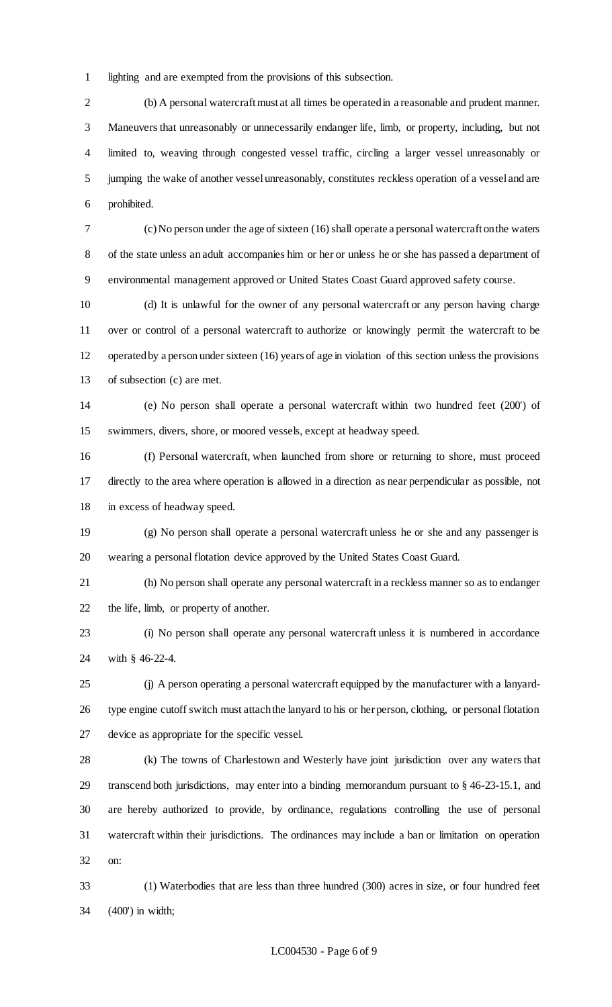lighting and are exempted from the provisions of this subsection.

 (b) A personal watercraft must at all times be operated in a reasonable and prudent manner. Maneuvers that unreasonably or unnecessarily endanger life, limb, or property, including, but not limited to, weaving through congested vessel traffic, circling a larger vessel unreasonably or jumping the wake of another vessel unreasonably, constitutes reckless operation of a vessel and are prohibited.

 (c) No person under the age of sixteen (16) shall operate a personal watercraft on the waters of the state unless an adult accompanies him or her or unless he or she has passed a department of environmental management approved or United States Coast Guard approved safety course.

 (d) It is unlawful for the owner of any personal watercraft or any person having charge over or control of a personal watercraft to authorize or knowingly permit the watercraft to be operated by a person under sixteen (16) years of age in violation of this section unless the provisions of subsection (c) are met.

 (e) No person shall operate a personal watercraft within two hundred feet (200') of swimmers, divers, shore, or moored vessels, except at headway speed.

 (f) Personal watercraft, when launched from shore or returning to shore, must proceed directly to the area where operation is allowed in a direction as near perpendicular as possible, not in excess of headway speed.

 (g) No person shall operate a personal watercraft unless he or she and any passenger is wearing a personal flotation device approved by the United States Coast Guard.

 (h) No person shall operate any personal watercraft in a reckless manner so as to endanger the life, limb, or property of another.

 (i) No person shall operate any personal watercraft unless it is numbered in accordance with § 46-22-4.

 (j) A person operating a personal watercraft equipped by the manufacturer with a lanyard- type engine cutoff switch must attach the lanyard to his or her person, clothing, or personal flotation device as appropriate for the specific vessel.

 (k) The towns of Charlestown and Westerly have joint jurisdiction over any waters that transcend both jurisdictions, may enter into a binding memorandum pursuant to § 46-23-15.1, and are hereby authorized to provide, by ordinance, regulations controlling the use of personal watercraft within their jurisdictions. The ordinances may include a ban or limitation on operation on:

 (1) Waterbodies that are less than three hundred (300) acres in size, or four hundred feet (400') in width;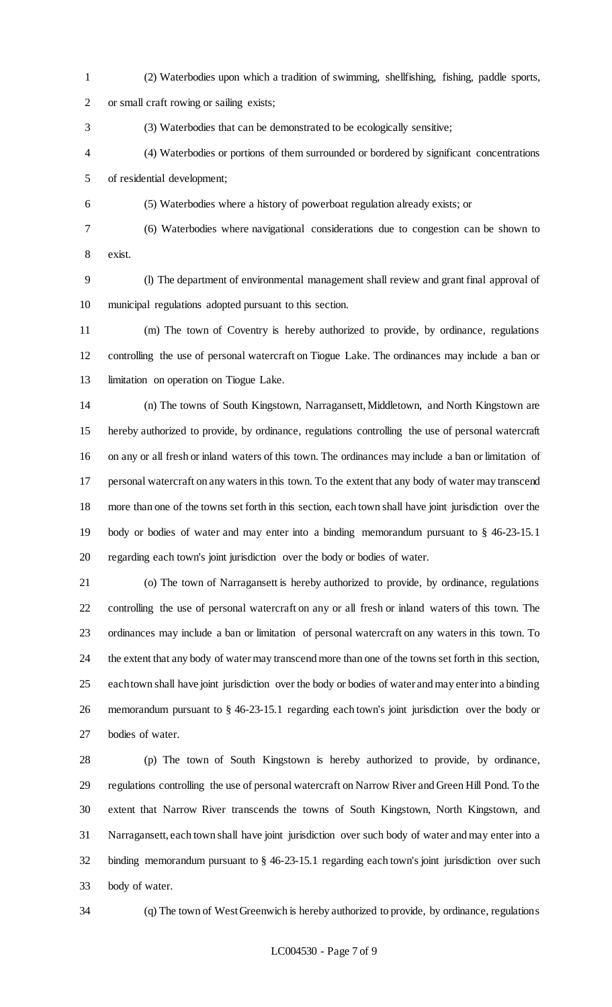- (2) Waterbodies upon which a tradition of swimming, shellfishing, fishing, paddle sports, or small craft rowing or sailing exists;
- (3) Waterbodies that can be demonstrated to be ecologically sensitive;
- (4) Waterbodies or portions of them surrounded or bordered by significant concentrations of residential development;
- (5) Waterbodies where a history of powerboat regulation already exists; or
- 

(6) Waterbodies where navigational considerations due to congestion can be shown to

exist.

 (l) The department of environmental management shall review and grant final approval of municipal regulations adopted pursuant to this section.

 (m) The town of Coventry is hereby authorized to provide, by ordinance, regulations controlling the use of personal watercraft on Tiogue Lake. The ordinances may include a ban or limitation on operation on Tiogue Lake.

 (n) The towns of South Kingstown, Narragansett, Middletown, and North Kingstown are hereby authorized to provide, by ordinance, regulations controlling the use of personal watercraft on any or all fresh or inland waters of this town. The ordinances may include a ban or limitation of personal watercraft on any waters in this town. To the extent that any body of water may transcend more than one of the towns set forth in this section, each town shall have joint jurisdiction over the body or bodies of water and may enter into a binding memorandum pursuant to § 46-23-15.1 regarding each town's joint jurisdiction over the body or bodies of water.

 (o) The town of Narragansett is hereby authorized to provide, by ordinance, regulations controlling the use of personal watercraft on any or all fresh or inland waters of this town. The ordinances may include a ban or limitation of personal watercraft on any waters in this town. To the extent that any body of water may transcend more than one of the towns set forth in this section, each town shall have joint jurisdiction over the body or bodies of water and may enter into a binding memorandum pursuant to § 46-23-15.1 regarding each town's joint jurisdiction over the body or bodies of water.

 (p) The town of South Kingstown is hereby authorized to provide, by ordinance, regulations controlling the use of personal watercraft on Narrow River and Green Hill Pond. To the extent that Narrow River transcends the towns of South Kingstown, North Kingstown, and Narragansett, each town shall have joint jurisdiction over such body of water and may enter into a binding memorandum pursuant to § 46-23-15.1 regarding each town's joint jurisdiction over such body of water.

(q) The town of West Greenwich is hereby authorized to provide, by ordinance, regulations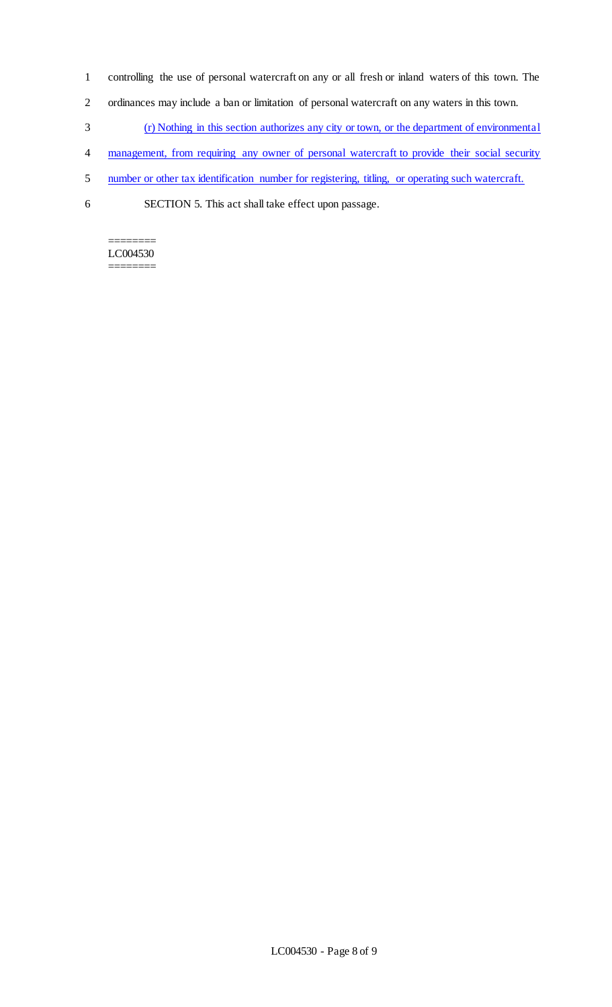- 1 controlling the use of personal watercraft on any or all fresh or inland waters of this town. The
- 2 ordinances may include a ban or limitation of personal watercraft on any waters in this town.
- 3 (r) Nothing in this section authorizes any city or town, or the department of environmental
- 4 management, from requiring any owner of personal watercraft to provide their social security
- 5 number or other tax identification number for registering, titling, or operating such watercraft.
- 6 SECTION 5. This act shall take effect upon passage.

======== LC004530 ========